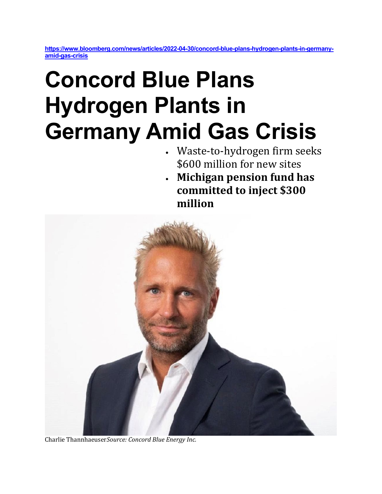**[https://www.bloomberg.com/news/articles/2022-04-30/concord-blue-plans-hydrogen-plants-in-germany](https://www.bloomberg.com/news/articles/2022-04-30/concord-blue-plans-hydrogen-plants-in-germany-amid-gas-crisis)[amid-gas-crisis](https://www.bloomberg.com/news/articles/2022-04-30/concord-blue-plans-hydrogen-plants-in-germany-amid-gas-crisis)**

## **Concord Blue Plans Hydrogen Plants in Germany Amid Gas Crisis**

- Waste-to-hydrogen firm seeks \$600 million for new sites
- **Michigan pension fund has committed to inject \$300 million**



Charlie Thannhaeuser*Source: Concord Blue Energy Inc.*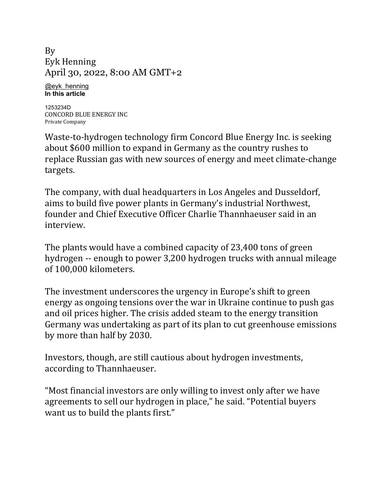By [Eyk Henning](https://www.bloomberg.com/authors/ATKcxqTE1Cg/eyk-henning) April 30, 2022, 8:00 AM GMT+2

[@eyk\\_henning](https://www.twitter.com/eyk_henning) **[In this article](https://www.bloomberg.com/quote/1253234D:US)**

[1253234D](https://www.bloomberg.com/quote/1253234D:US) [CONCORD](https://www.bloomberg.com/quote/1253234D:US) BLUE ENERGY INC Private [Company](https://www.bloomberg.com/quote/1253234D:US)

Waste-to-hydrogen technology firm [Concord](https://www.bloomberg.com/quote/1253234D:US) Blue Energy Inc. is seeking about \$600 million to expand in Germany as the country rushes to replace Russian gas with new sources of energy and meet climate-change targets.

The company, with dual headquarters in Los Angeles and Dusseldorf, aims to build five power plants in Germany's industrial Northwest, founder and Chief Executive Officer Charlie Thannhaeuser said in an interview.

The plants would have a combined capacity of 23,400 tons of green hydrogen -- enough to power 3,200 hydrogen trucks with annual mileage of 100,000 kilometers.

The investment underscores the urgency in Europe's shift to green energy as ongoing tensions over the war in Ukraine continue to push gas and oil prices higher. The crisis added steam to the energy transition Germany was undertaking as part of its plan to cut greenhouse emissions by more than half by 2030.

Investors, though, are still cautious about hydrogen investments, according to Thannhaeuser.

"Most financial investors are only willing to invest only after we have agreements to sell our hydrogen in place," he said. "Potential buyers want us to build the plants first."